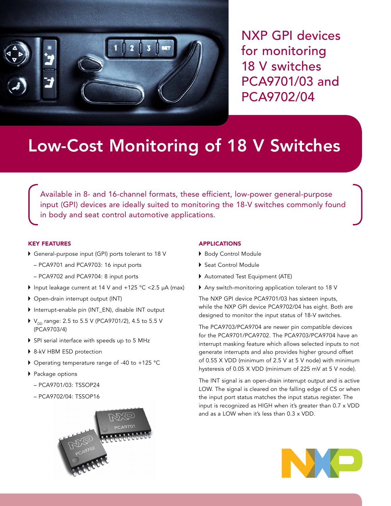

NXP GPI devices for monitoring 18 V switches PCA9701/03 and PCA9702/04

# Low-Cost Monitoring of 18 V Switches

Available in 8- and 16-channel formats, these efficient, low-power general-purpose input (GPI) devices are ideally suited to monitoring the 18-V switches commonly found in body and seat control automotive applications.

# KEY FEATURES

- General-purpose input (GPI) ports tolerant to 18 V
	- PCA9701 and PCA9703: 16 input ports
	- PCA9702 and PCA9704: 8 input ports
- Input leakage current at 14 V and +125 °C <2.5 μA (max)
- Open-drain interrupt output (INT)
- Interrupt-enable pin (INT\_EN), disable INT output
- $V_{\text{DD}}$  range: 2.5 to 5.5 V (PCA9701/2), 4.5 to 5.5 V (PCA9703/4)
- SPI serial interface with speeds up to 5 MHz
- ▶ 8-kV HBM ESD protection
- Operating temperature range of -40 to +125 °C
- ▶ Package options
	- PCA9701/03: TSSOP24
	- PCA9702/04: TSSOP16



### APPLICATIONS

- ▶ Body Control Module
- Seat Control Module
- Automated Test Equipment (ATE)
- Any switch-monitoring application tolerant to 18 V

The NXP GPI device PCA9701/03 has sixteen inputs, while the NXP GPI device PCA9702/04 has eight. Both are designed to monitor the input status of 18-V switches.

The PCA9703/PCA9704 are newer pin compatible devices for the PCA9701/PCA9702. The PCA9703/PCA9704 have an interrupt masking feature which allows selected inputs to not generate interrupts and also provides higher ground offset of 0.55 X VDD (minimum of 2.5 V at 5 V node) with minimum hysteresis of 0.05 X VDD (minimum of 225 mV at 5 V node).

The INT signal is an open-drain interrupt output and is active LOW. The signal is cleared on the falling edge of CS or when the input port status matches the input status register. The input is recognized as HIGH when it's greater than 0.7 x VDD and as a LOW when it's less than 0.3 x VDD.